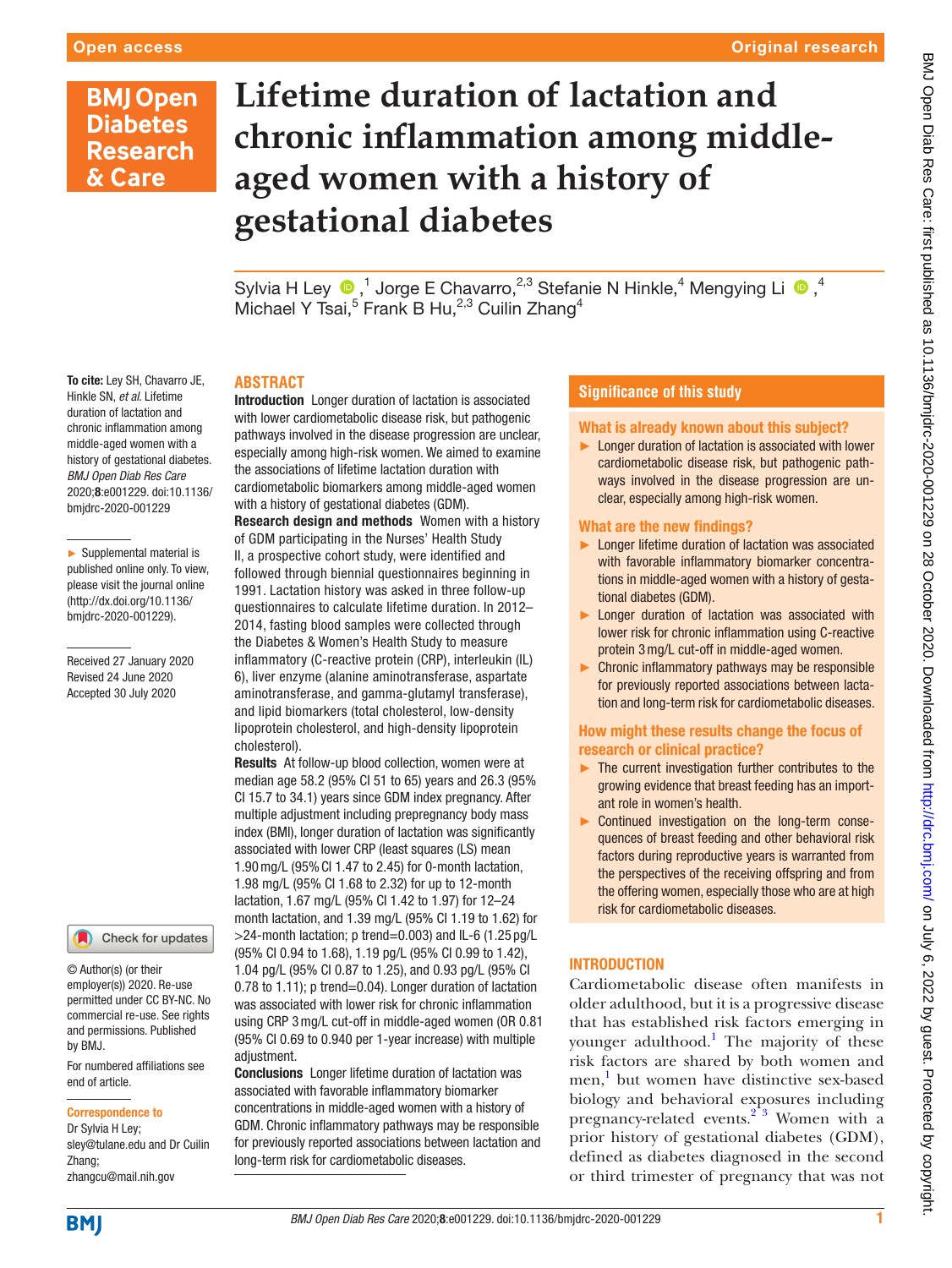# Original research

# **BMJ Open Diabetes Research** & Care

To cite: Ley SH, Chavarro JE, Hinkle SN, *et al*. Lifetime duration of lactation and chronic inflammation among middle-aged women with a history of gestational diabetes. *BMJ Open Diab Res Care* 2020;8:e001229. doi:10.1136/ bmjdrc-2020-001229

► Supplemental material is published online only. To view, please visit the journal online ([http://dx.doi.org/10.1136/](http://dx.doi.org/10.1136/bmjpo-2020-000755).) [bmjdrc-2020-001229\)](http://dx.doi.org/10.1136/bmjpo-2020-000755).).

Received 27 January 2020 Revised 24 June 2020 Accepted 30 July 2020

# **Lifetime duration of lactation and chronic inflammation among middleaged women with a history of gestational diabetes**

SylviaH Ley  $\bigcirc$  ,<sup>1</sup> Jorge E Chavarro,<sup>2,3</sup> Stefanie N Hinkle,<sup>4</sup> Mengying Li  $\bigcirc$  ,<sup>4</sup> Michael Y Tsai, $^5$  Frank B Hu, $^{2,3}$  Cuilin Zhang $^4$ 

# **ABSTRACT**

Introduction Longer duration of lactation is associated with lower cardiometabolic disease risk, but pathogenic pathways involved in the disease progression are unclear, especially among high-risk women. We aimed to examine the associations of lifetime lactation duration with cardiometabolic biomarkers among middle-aged women with a history of gestational diabetes (GDM).

Research design and methods Women with a history of GDM participating in the Nurses' Health Study II, a prospective cohort study, were identified and followed through biennial questionnaires beginning in 1991. Lactation history was asked in three follow-up questionnaires to calculate lifetime duration. In 2012– 2014, fasting blood samples were collected through the Diabetes & Women's Health Study to measure inflammatory (C-reactive protein (CRP), interleukin (IL) 6), liver enzyme (alanine aminotransferase, aspartate aminotransferase, and gamma-glutamyl transferase), and lipid biomarkers (total cholesterol, low-density lipoprotein cholesterol, and high-density lipoprotein cholesterol).

Results At follow-up blood collection, women were at median age 58.2 (95% CI 51 to 65) years and 26.3 (95% CI 15.7 to 34.1) years since GDM index pregnancy. After multiple adjustment including prepregnancy body mass index (BMI), longer duration of lactation was significantly associated with lower CRP (least squares (LS) mean 1.90mg/L (95%CI 1.47 to 2.45) for 0-month lactation, 1.98 mg/L (95% CI 1.68 to 2.32) for up to 12-month lactation, 1.67 mg/L (95% CI 1.42 to 1.97) for 12–24 month lactation, and 1.39 mg/L (95% CI 1.19 to 1.62) for >24-month lactation; p trend=0.003) and IL-6 (1.25 pg/L (95% CI 0.94 to 1.68), 1.19 pg/L (95% CI 0.99 to 1.42), 1.04 pg/L (95% CI 0.87 to 1.25), and 0.93 pg/L (95% CI 0.78 to 1.11); p trend=0.04). Longer duration of lactation was associated with lower risk for chronic inflammation using CRP 3mg/L cut-off in middle-aged women (OR 0.81 (95% CI 0.69 to 0.940 per 1-year increase) with multiple adjustment.

Conclusions Longer lifetime duration of lactation was associated with favorable inflammatory biomarker concentrations in middle-aged women with a history of GDM. Chronic inflammatory pathways may be responsible for previously reported associations between lactation and long-term risk for cardiometabolic diseases.

# **Significance of this study**

## What is already known about this subject?

► Longer duration of lactation is associated with lower cardiometabolic disease risk, but pathogenic pathways involved in the disease progression are unclear, especially among high-risk women.

#### What are the new findings?

- ► Longer lifetime duration of lactation was associated with favorable inflammatory biomarker concentrations in middle-aged women with a history of gestational diabetes (GDM).
- ► Longer duration of lactation was associated with lower risk for chronic inflammation using C-reactive protein 3mg/L cut-off in middle-aged women.
- $\triangleright$  Chronic inflammatory pathways may be responsible for previously reported associations between lactation and long-term risk for cardiometabolic diseases.

# How might these results change the focus of research or clinical practice?

- ► The current investigation further contributes to the growing evidence that breast feeding has an important role in women's health.
- ► Continued investigation on the long-term consequences of breast feeding and other behavioral risk factors during reproductive years is warranted from the perspectives of the receiving offspring and from the offering women, especially those who are at high risk for cardiometabolic diseases.

# **INTRODUCTION**

Cardiometabolic disease often manifests in older adulthood, but it is a progressive disease that has established risk factors emerging in younger adulthood.<sup>1</sup> The majority of these risk factors are shared by both women and men, [1](#page-6-0) but women have distinctive sex-based biology and behavioral exposures including pregnancy-related events.<sup>2<sup>2</sup> Women with a</sup> prior history of gestational diabetes (GDM), defined as diabetes diagnosed in the second or third trimester of pregnancy that was not

# **BMI**

Zhang;

For numbered affiliations see

Check for updates

sley@tulane.edu and Dr Cuilin

end of article.

by BMJ.

Correspondence to Dr Sylvia H Ley;

© Author(s) (or their employer(s)) 2020. Re-use permitted under CC BY-NC. No commercial re-use. See rights and permissions. Published

zhangcu@mail.nih.gov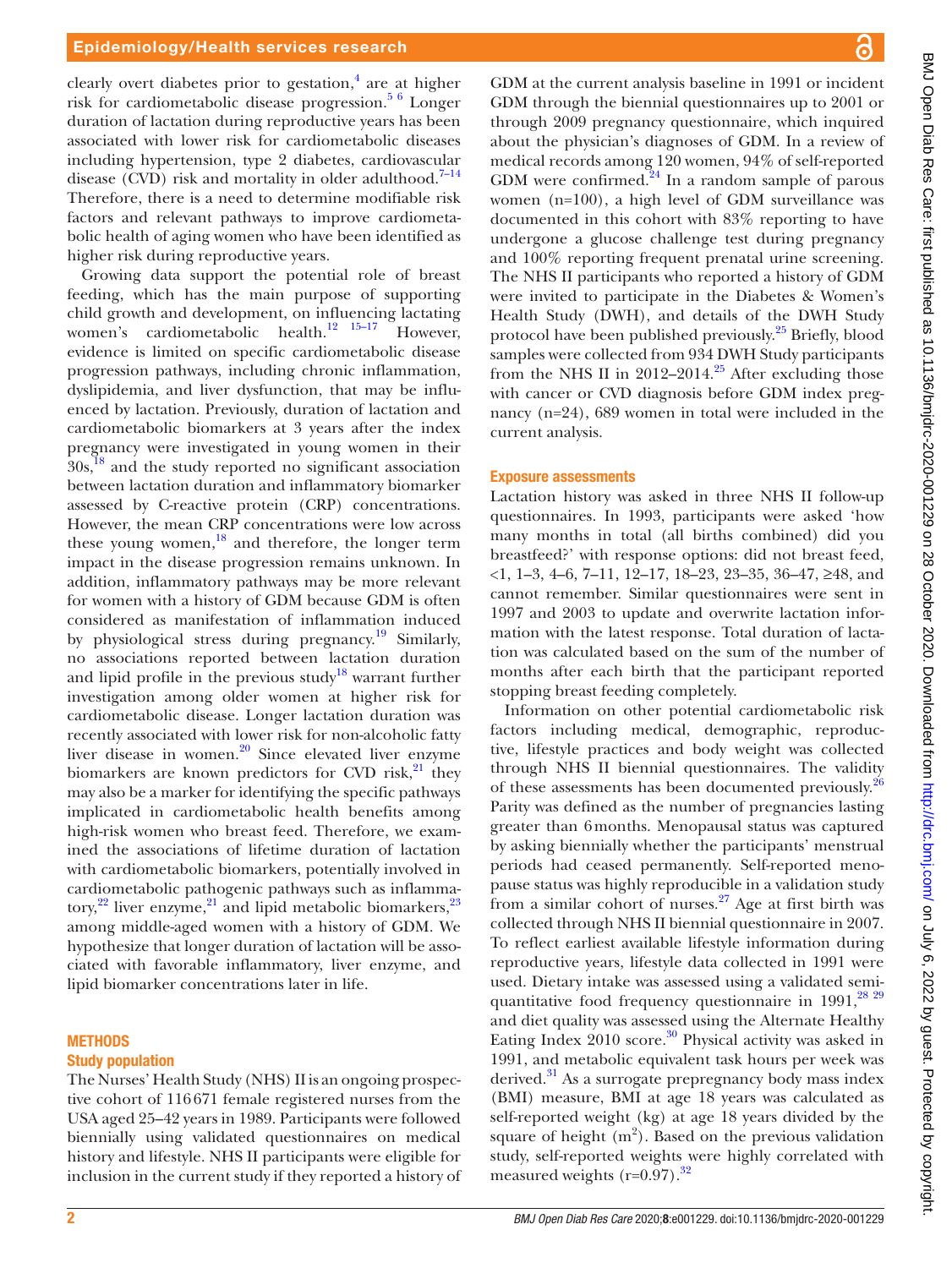clearly overt diabetes prior to gestation, $<sup>4</sup>$  $<sup>4</sup>$  $<sup>4</sup>$  are at higher</sup> risk for cardiometabolic disease progression.<sup>5 6</sup> Longer duration of lactation during reproductive years has been associated with lower risk for cardiometabolic diseases including hypertension, type 2 diabetes, cardiovascular disease (CVD) risk and mortality in older adulthood.<sup>7-14</sup> Therefore, there is a need to determine modifiable risk factors and relevant pathways to improve cardiometabolic health of aging women who have been identified as higher risk during reproductive years.

Growing data support the potential role of breast feeding, which has the main purpose of supporting child growth and development, on influencing lactating women's cardiometabolic health.<sup>12</sup> <sup>15–17</sup> However, evidence is limited on specific cardiometabolic disease progression pathways, including chronic inflammation, dyslipidemia, and liver dysfunction, that may be influenced by lactation. Previously, duration of lactation and cardiometabolic biomarkers at 3 years after the index pregnancy were investigated in young women in their  $30s$ ,<sup>[18](#page-6-6)</sup> and the study reported no significant association between lactation duration and inflammatory biomarker assessed by C-reactive protein (CRP) concentrations. However, the mean CRP concentrations were low across these young women, $^{18}$  and therefore, the longer term impact in the disease progression remains unknown. In addition, inflammatory pathways may be more relevant for women with a history of GDM because GDM is often considered as manifestation of inflammation induced by physiological stress during pregnancy.<sup>19</sup> Similarly, no associations reported between lactation duration and lipid profile in the previous study<sup>[18](#page-6-6)</sup> warrant further investigation among older women at higher risk for cardiometabolic disease. Longer lactation duration was recently associated with lower risk for non-alcoholic fatty liver disease in women. $20$  Since elevated liver enzyme biomarkers are known predictors for CVD risk, $^{21}$  they may also be a marker for identifying the specific pathways implicated in cardiometabolic health benefits among high-risk women who breast feed. Therefore, we examined the associations of lifetime duration of lactation with cardiometabolic biomarkers, potentially involved in cardiometabolic pathogenic pathways such as inflammatory,<sup>22</sup> liver enzyme,<sup>21</sup> and lipid metabolic biomarkers,<sup>23</sup> among middle-aged women with a history of GDM. We hypothesize that longer duration of lactation will be associated with favorable inflammatory, liver enzyme, and lipid biomarker concentrations later in life.

#### **METHODS**

#### Study population

The Nurses' Health Study (NHS) II is an ongoing prospective cohort of 116671 female registered nurses from the USA aged 25–42 years in 1989. Participants were followed biennially using validated questionnaires on medical history and lifestyle. NHS II participants were eligible for inclusion in the current study if they reported a history of

GDM at the current analysis baseline in 1991 or incident GDM through the biennial questionnaires up to 2001 or through 2009 pregnancy questionnaire, which inquired about the physician's diagnoses of GDM. In a review of medical records among 120 women, 94% of self-reported GDM were confirmed. $^{24}$  In a random sample of parous women (n=100), a high level of GDM surveillance was documented in this cohort with 83% reporting to have undergone a glucose challenge test during pregnancy and 100% reporting frequent prenatal urine screening. The NHS II participants who reported a history of GDM were invited to participate in the Diabetes & Women's Health Study (DWH), and details of the DWH Study protocol have been published previously[.25](#page-6-13) Briefly, blood samples were collected from 934 DWH Study participants from the NHS II in  $2012-2014$ .<sup>25</sup> After excluding those with cancer or CVD diagnosis before GDM index pregnancy (n=24), 689 women in total were included in the current analysis.

#### Exposure assessments

Lactation history was asked in three NHS II follow-up questionnaires. In 1993, participants were asked 'how many months in total (all births combined) did you breastfeed?' with response options: did not breast feed, <1, 1–3, 4–6, 7–11, 12–17, 18–23, 23–35, 36–47, ≥48, and cannot remember. Similar questionnaires were sent in 1997 and 2003 to update and overwrite lactation information with the latest response. Total duration of lactation was calculated based on the sum of the number of months after each birth that the participant reported stopping breast feeding completely.

Information on other potential cardiometabolic risk factors including medical, demographic, reproductive, lifestyle practices and body weight was collected through NHS II biennial questionnaires. The validity of these assessments has been documented previously.<sup>[26](#page-6-14)</sup> Parity was defined as the number of pregnancies lasting greater than 6months. Menopausal status was captured by asking biennially whether the participants' menstrual periods had ceased permanently. Self-reported menopause status was highly reproducible in a validation study from a similar cohort of nurses. $27$  Age at first birth was collected through NHS II biennial questionnaire in 2007. To reflect earliest available lifestyle information during reproductive years, lifestyle data collected in 1991 were used. Dietary intake was assessed using a validated semi-quantitative food frequency questionnaire in 1991,<sup>[28 29](#page-6-16)</sup> and diet quality was assessed using the Alternate Healthy Eating Index 2010 score.<sup>30</sup> Physical activity was asked in 1991, and metabolic equivalent task hours per week was derived.<sup>31</sup> As a surrogate prepregnancy body mass index (BMI) measure, BMI at age 18 years was calculated as self-reported weight (kg) at age 18 years divided by the square of height  $(m<sup>2</sup>)$ . Based on the previous validation study, self-reported weights were highly correlated with measured weights  $(r=0.97).$ <sup>[32](#page-7-0)</sup>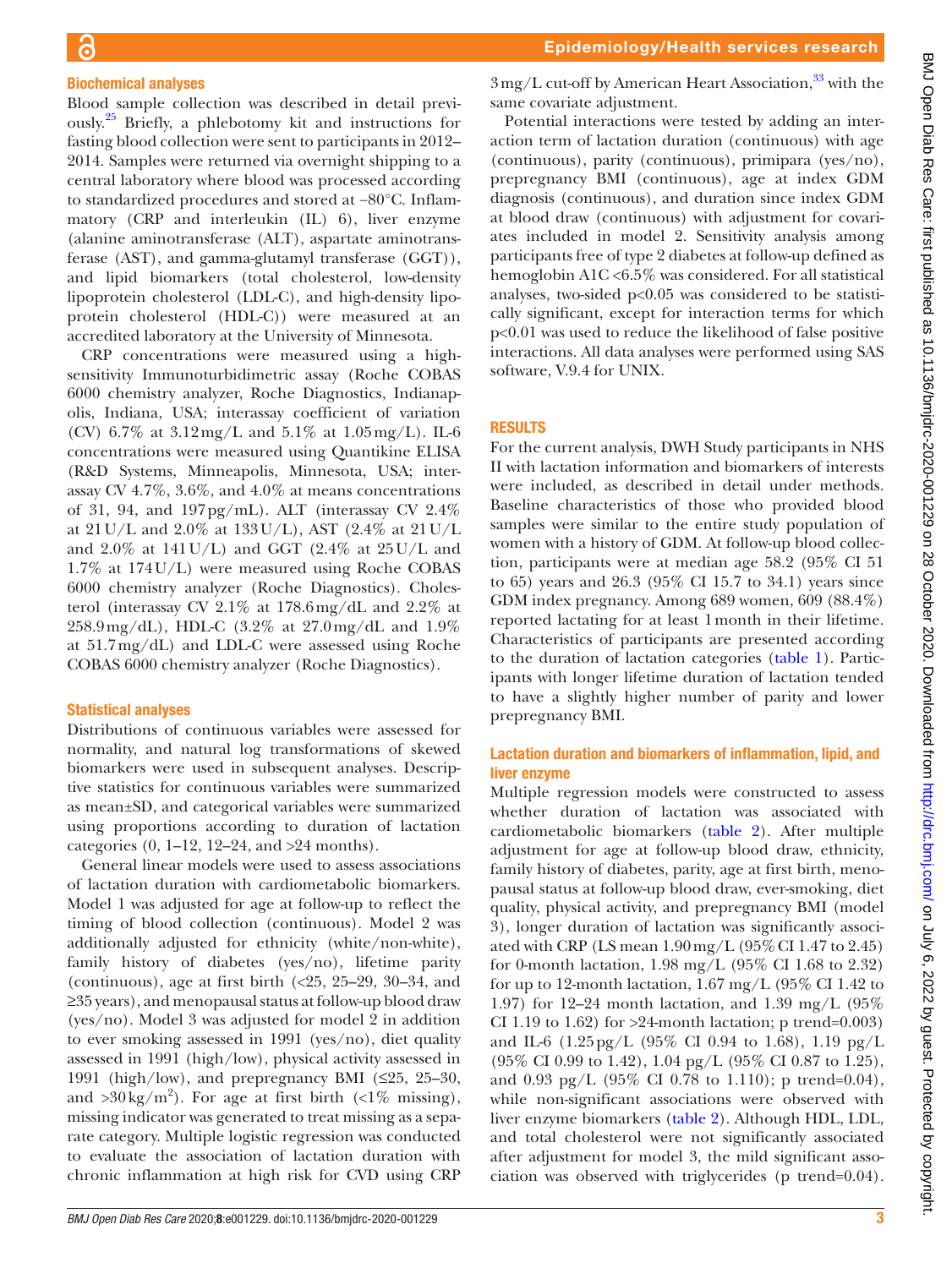# Biochemical analyses

Blood sample collection was described in detail previously.[25](#page-6-13) Briefly, a phlebotomy kit and instructions for fasting blood collection were sent to participants in 2012– 2014. Samples were returned via overnight shipping to a central laboratory where blood was processed according to standardized procedures and stored at −80°C. Inflammatory (CRP and interleukin (IL) 6), liver enzyme (alanine aminotransferase (ALT), aspartate aminotransferase (AST), and gamma-glutamyl transferase (GGT)), and lipid biomarkers (total cholesterol, low-density lipoprotein cholesterol (LDL-C), and high-density lipoprotein cholesterol (HDL-C)) were measured at an accredited laboratory at the University of Minnesota.

CRP concentrations were measured using a highsensitivity Immunoturbidimetric assay (Roche COBAS 6000 chemistry analyzer, Roche Diagnostics, Indianapolis, Indiana, USA; interassay coefficient of variation (CV) 6.7% at 3.12mg/L and 5.1% at 1.05mg/L). IL-6 concentrations were measured using Quantikine ELISA (R&D Systems, Minneapolis, Minnesota, USA; interassay CV 4.7%, 3.6%, and 4.0% at means concentrations of 31, 94, and  $197 \text{ pg/mL}$ . ALT (interassay CV  $2.4\%$ at 21U/L and 2.0% at 133U/L), AST (2.4% at 21U/L and  $2.0\%$  at  $141 U/L$ ) and GGT (2.4% at  $25 U/L$  and 1.7% at 174U/L) were measured using Roche COBAS 6000 chemistry analyzer (Roche Diagnostics). Cholesterol (interassay CV 2.1% at 178.6mg/dL and 2.2% at 258.9mg/dL), HDL-C (3.2% at 27.0mg/dL and 1.9% at 51.7mg/dL) and LDL-C were assessed using Roche COBAS 6000 chemistry analyzer (Roche Diagnostics).

# Statistical analyses

Distributions of continuous variables were assessed for normality, and natural log transformations of skewed biomarkers were used in subsequent analyses. Descriptive statistics for continuous variables were summarized as mean±SD, and categorical variables were summarized using proportions according to duration of lactation categories (0, 1–12, 12–24, and >24 months).

General linear models were used to assess associations of lactation duration with cardiometabolic biomarkers. Model 1 was adjusted for age at follow-up to reflect the timing of blood collection (continuous). Model 2 was additionally adjusted for ethnicity (white/non-white), family history of diabetes (yes/no), lifetime parity (continuous), age at first birth (<25, 25–29, 30–34, and ≥35 years), and menopausal status at follow-up blood draw (yes/no). Model 3 was adjusted for model 2 in addition to ever smoking assessed in 1991 (yes/no), diet quality assessed in 1991 (high/low), physical activity assessed in 1991 (high/low), and prepregnancy BMI (≤25, 25–30, and  $>30 \text{ kg/m}^2$ ). For age at first birth (<1% missing), missing indicator was generated to treat missing as a separate category. Multiple logistic regression was conducted to evaluate the association of lactation duration with chronic inflammation at high risk for CVD using CRP

 $3 \text{ mg/L}$  cut-off by American Heart Association,  $33\text{ with the}$ same covariate adjustment.

Potential interactions were tested by adding an interaction term of lactation duration (continuous) with age (continuous), parity (continuous), primipara (yes/no), prepregnancy BMI (continuous), age at index GDM diagnosis (continuous), and duration since index GDM at blood draw (continuous) with adjustment for covariates included in model 2. Sensitivity analysis among participants free of type 2 diabetes at follow-up defined as hemoglobin A1C <6.5% was considered. For all statistical analyses, two-sided  $p<0.05$  was considered to be statistically significant, except for interaction terms for which p<0.01 was used to reduce the likelihood of false positive interactions. All data analyses were performed using SAS software, V.9.4 for UNIX.

# RESULTS

For the current analysis, DWH Study participants in NHS II with lactation information and biomarkers of interests were included, as described in detail under methods. Baseline characteristics of those who provided blood samples were similar to the entire study population of women with a history of GDM. At follow-up blood collection, participants were at median age 58.2 (95% CI 51 to 65) years and 26.3 (95% CI 15.7 to 34.1) years since GDM index pregnancy. Among 689 women, 609 (88.4%) reported lactating for at least 1month in their lifetime. Characteristics of participants are presented according to the duration of lactation categories ([table](#page-3-0) 1). Participants with longer lifetime duration of lactation tended to have a slightly higher number of parity and lower prepregnancy BMI.

# Lactation duration and biomarkers of inflammation, lipid, and liver enzyme

Multiple regression models were constructed to assess whether duration of lactation was associated with cardiometabolic biomarkers [\(table](#page-4-0) 2). After multiple adjustment for age at follow-up blood draw, ethnicity, family history of diabetes, parity, age at first birth, menopausal status at follow-up blood draw, ever-smoking, diet quality, physical activity, and prepregnancy BMI (model 3), longer duration of lactation was significantly associated with CRP (LS mean  $1.90 \,\mathrm{mg/L}$  (95% CI 1.47 to 2.45) for 0-month lactation, 1.98 mg/L (95% CI 1.68 to 2.32) for up to 12-month lactation,  $1.67 \text{ mg/L}$  (95% CI 1.42 to 1.97) for 12–24 month lactation, and 1.39 mg/L (95% CI 1.19 to 1.62) for  $>24$ -month lactation; p trend=0.003) and IL-6 (1.25pg/L (95% CI 0.94 to 1.68), 1.19 pg/L (95% CI 0.99 to 1.42), 1.04 pg/L (95% CI 0.87 to 1.25), and 0.93 pg/L (95% CI 0.78 to 1.110); p trend=0.04), while non-significant associations were observed with liver enzyme biomarkers ([table](#page-4-0) 2). Although HDL, LDL, and total cholesterol were not significantly associated after adjustment for model 3, the mild significant association was observed with triglycerides (p trend=0.04).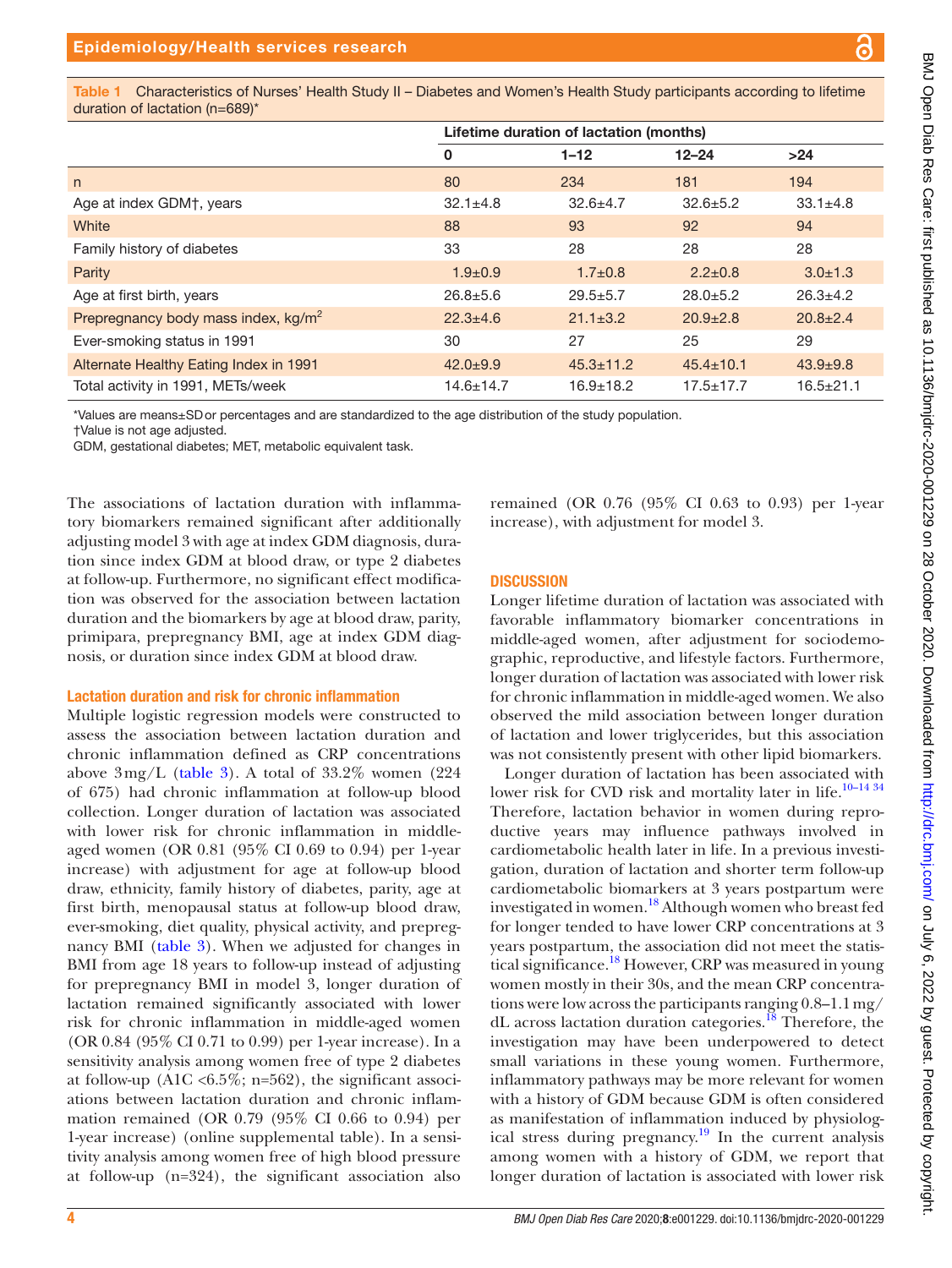<span id="page-3-0"></span>Table 1 Characteristics of Nurses' Health Study II – Diabetes and Women's Health Study participants according to lifetime duration of lactation (n=689)\*

|                                                 | Lifetime duration of lactation (months) |                 |                 |                 |
|-------------------------------------------------|-----------------------------------------|-----------------|-----------------|-----------------|
|                                                 | $\mathbf 0$                             | $1 - 12$        | $12 - 24$       | >24             |
| n                                               | 80                                      | 234             | 181             | 194             |
| Age at index GDM+, years                        | $32.1 \pm 4.8$                          | $32.6 \pm 4.7$  | $32.6 \pm 5.2$  | $33.1 \pm 4.8$  |
| White                                           | 88                                      | 93              | 92              | 94              |
| Family history of diabetes                      | 33                                      | 28              | 28              | 28              |
| Parity                                          | $1.9 + 0.9$                             | $1.7 \pm 0.8$   | $2.2 \pm 0.8$   | $3.0 \pm 1.3$   |
| Age at first birth, years                       | $26.8 + 5.6$                            | $29.5 + 5.7$    | $28.0 + 5.2$    | $26.3 \pm 4.2$  |
| Prepregnancy body mass index, kg/m <sup>2</sup> | $22.3 \pm 4.6$                          | $21.1 \pm 3.2$  | $20.9 \pm 2.8$  | $20.8 \pm 2.4$  |
| Ever-smoking status in 1991                     | 30                                      | 27              | 25              | 29              |
| Alternate Healthy Eating Index in 1991          | $42.0 \pm 9.9$                          | $45.3 \pm 11.2$ | $45.4 \pm 10.1$ | $43.9 + 9.8$    |
| Total activity in 1991, METs/week               | $14.6 \pm 14.7$                         | $16.9 \pm 18.2$ | $17.5 \pm 17.7$ | $16.5 \pm 21.1$ |

\*Values are means±SDor percentages and are standardized to the age distribution of the study population.

†Value is not age adjusted.

GDM, gestational diabetes; MET, metabolic equivalent task.

The associations of lactation duration with inflammatory biomarkers remained significant after additionally adjusting model 3 with age at index GDM diagnosis, duration since index GDM at blood draw, or type 2 diabetes at follow-up. Furthermore, no significant effect modification was observed for the association between lactation duration and the biomarkers by age at blood draw, parity, primipara, prepregnancy BMI, age at index GDM diagnosis, or duration since index GDM at blood draw.

## Lactation duration and risk for chronic inflammation

Multiple logistic regression models were constructed to assess the association between lactation duration and chronic inflammation defined as CRP concentrations above  $3 \text{ mg/L}$  [\(table](#page-5-0) 3). A total of  $33.2\%$  women (224) of 675) had chronic inflammation at follow-up blood collection. Longer duration of lactation was associated with lower risk for chronic inflammation in middleaged women (OR 0.81 (95% CI 0.69 to 0.94) per 1-year increase) with adjustment for age at follow-up blood draw, ethnicity, family history of diabetes, parity, age at first birth, menopausal status at follow-up blood draw, ever-smoking, diet quality, physical activity, and prepregnancy BMI [\(table](#page-5-0) 3). When we adjusted for changes in BMI from age 18 years to follow-up instead of adjusting for prepregnancy BMI in model 3, longer duration of lactation remained significantly associated with lower risk for chronic inflammation in middle-aged women (OR 0.84 (95% CI 0.71 to 0.99) per 1-year increase). In a sensitivity analysis among women free of type 2 diabetes at follow-up (A1C <6.5%; n=562), the significant associations between lactation duration and chronic inflammation remained (OR 0.79 (95% CI 0.66 to 0.94) per 1-year increase) ([online supplemental table\)](https://dx.doi.org/10.1136/bmjdrc-2020-001229). In a sensitivity analysis among women free of high blood pressure at follow-up (n=324), the significant association also

remained (OR 0.76 (95% CI 0.63 to 0.93) per 1-year increase), with adjustment for model 3.

## **DISCUSSION**

Longer lifetime duration of lactation was associated with favorable inflammatory biomarker concentrations in middle-aged women, after adjustment for sociodemographic, reproductive, and lifestyle factors. Furthermore, longer duration of lactation was associated with lower risk for chronic inflammation in middle-aged women. We also observed the mild association between longer duration of lactation and lower triglycerides, but this association was not consistently present with other lipid biomarkers.

Longer duration of lactation has been associated with lower risk for CVD risk and mortality later in life.<sup>[10–14 34](#page-6-19)</sup> Therefore, lactation behavior in women during reproductive years may influence pathways involved in cardiometabolic health later in life. In a previous investigation, duration of lactation and shorter term follow-up cardiometabolic biomarkers at 3 years postpartum were investigated in women.<sup>18</sup> Although women who breast fed for longer tended to have lower CRP concentrations at 3 years postpartum, the association did not meet the statistical significance.<sup>18</sup> However, CRP was measured in young women mostly in their 30s, and the mean CRP concentrations were low across the participants ranging 0.8–1.1mg/ dL across lactation duration categories.[18](#page-6-6) Therefore, the investigation may have been underpowered to detect small variations in these young women. Furthermore, inflammatory pathways may be more relevant for women with a history of GDM because GDM is often considered as manifestation of inflammation induced by physiological stress during pregnancy.<sup>19</sup> In the current analysis among women with a history of GDM, we report that longer duration of lactation is associated with lower risk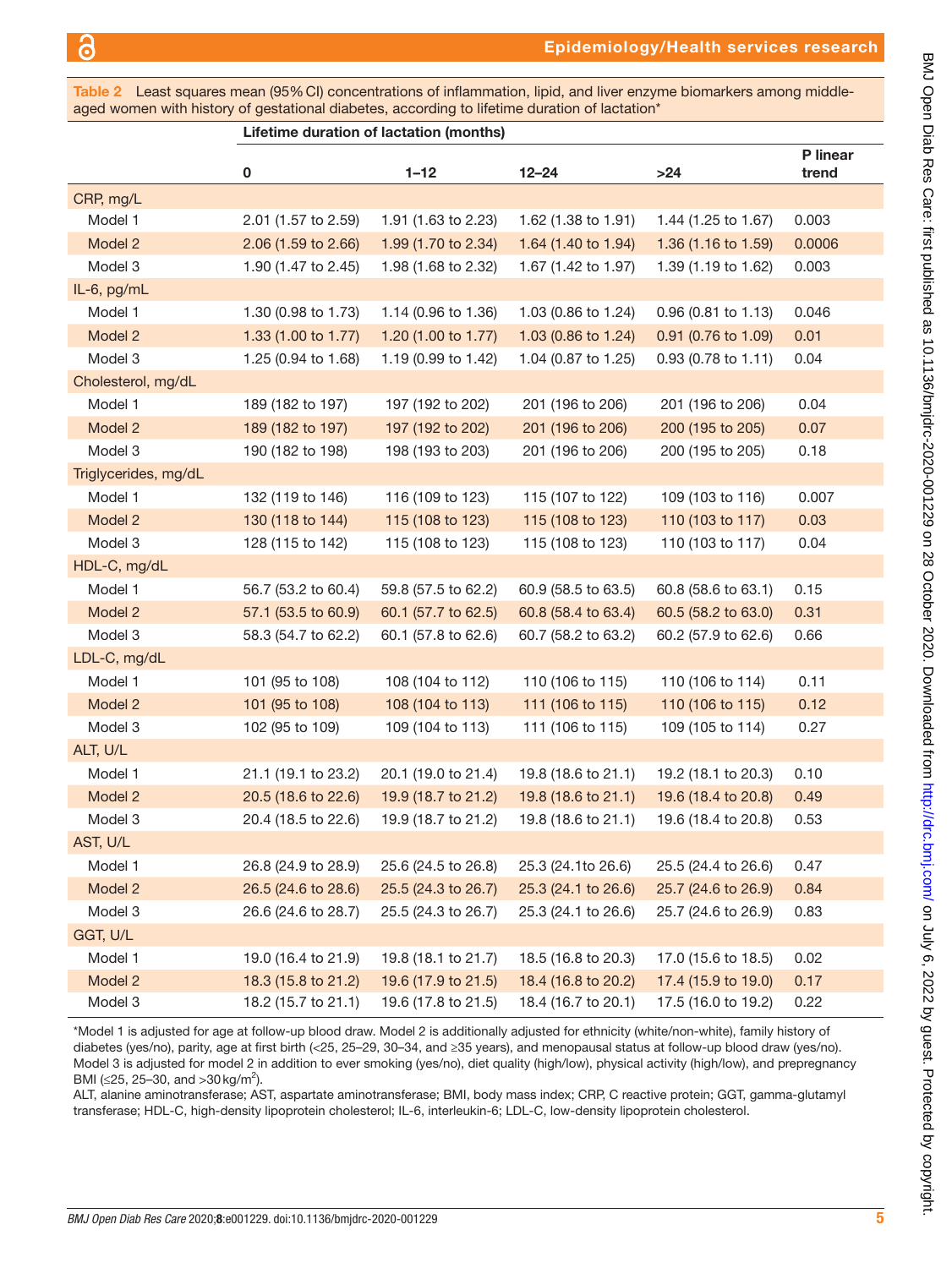<span id="page-4-0"></span>Table 2 Least squares mean (95% CI) concentrations of inflammation, lipid, and liver enzyme biomarkers among middleaged women with history of gestational diabetes, according to lifetime duration of lactation\*

|                      | Lifetime duration of lactation (months) |                     |                     |                     |                   |
|----------------------|-----------------------------------------|---------------------|---------------------|---------------------|-------------------|
|                      | 0                                       | $1 - 12$            | $12 - 24$           | >24                 | P linear<br>trend |
| CRP, mg/L            |                                         |                     |                     |                     |                   |
| Model 1              | 2.01 (1.57 to 2.59)                     | 1.91 (1.63 to 2.23) | 1.62 (1.38 to 1.91) | 1.44 (1.25 to 1.67) | 0.003             |
| Model 2              | 2.06 (1.59 to 2.66)                     | 1.99 (1.70 to 2.34) | 1.64 (1.40 to 1.94) | 1.36 (1.16 to 1.59) | 0.0006            |
| Model 3              | 1.90 (1.47 to 2.45)                     | 1.98 (1.68 to 2.32) | 1.67 (1.42 to 1.97) | 1.39 (1.19 to 1.62) | 0.003             |
| IL-6, pg/mL          |                                         |                     |                     |                     |                   |
| Model 1              | 1.30 (0.98 to 1.73)                     | 1.14 (0.96 to 1.36) | 1.03 (0.86 to 1.24) | 0.96 (0.81 to 1.13) | 0.046             |
| Model 2              | 1.33 (1.00 to 1.77)                     | 1.20 (1.00 to 1.77) | 1.03 (0.86 to 1.24) | 0.91 (0.76 to 1.09) | 0.01              |
| Model 3              | 1.25 (0.94 to 1.68)                     | 1.19 (0.99 to 1.42) | 1.04 (0.87 to 1.25) | 0.93 (0.78 to 1.11) | 0.04              |
| Cholesterol, mg/dL   |                                         |                     |                     |                     |                   |
| Model 1              | 189 (182 to 197)                        | 197 (192 to 202)    | 201 (196 to 206)    | 201 (196 to 206)    | 0.04              |
| Model 2              | 189 (182 to 197)                        | 197 (192 to 202)    | 201 (196 to 206)    | 200 (195 to 205)    | 0.07              |
| Model 3              | 190 (182 to 198)                        | 198 (193 to 203)    | 201 (196 to 206)    | 200 (195 to 205)    | 0.18              |
| Triglycerides, mg/dL |                                         |                     |                     |                     |                   |
| Model 1              | 132 (119 to 146)                        | 116 (109 to 123)    | 115 (107 to 122)    | 109 (103 to 116)    | 0.007             |
| Model 2              | 130 (118 to 144)                        | 115 (108 to 123)    | 115 (108 to 123)    | 110 (103 to 117)    | 0.03              |
| Model 3              | 128 (115 to 142)                        | 115 (108 to 123)    | 115 (108 to 123)    | 110 (103 to 117)    | 0.04              |
| HDL-C, mg/dL         |                                         |                     |                     |                     |                   |
| Model 1              | 56.7 (53.2 to 60.4)                     | 59.8 (57.5 to 62.2) | 60.9 (58.5 to 63.5) | 60.8 (58.6 to 63.1) | 0.15              |
| Model 2              | 57.1 (53.5 to 60.9)                     | 60.1 (57.7 to 62.5) | 60.8 (58.4 to 63.4) | 60.5 (58.2 to 63.0) | 0.31              |
| Model 3              | 58.3 (54.7 to 62.2)                     | 60.1 (57.8 to 62.6) | 60.7 (58.2 to 63.2) | 60.2 (57.9 to 62.6) | 0.66              |
| LDL-C, mg/dL         |                                         |                     |                     |                     |                   |
| Model 1              | 101 (95 to 108)                         | 108 (104 to 112)    | 110 (106 to 115)    | 110 (106 to 114)    | 0.11              |
| Model 2              | 101 (95 to 108)                         | 108 (104 to 113)    | 111 (106 to 115)    | 110 (106 to 115)    | 0.12              |
| Model 3              | 102 (95 to 109)                         | 109 (104 to 113)    | 111 (106 to 115)    | 109 (105 to 114)    | 0.27              |
| ALT, U/L             |                                         |                     |                     |                     |                   |
| Model 1              | 21.1 (19.1 to 23.2)                     | 20.1 (19.0 to 21.4) | 19.8 (18.6 to 21.1) | 19.2 (18.1 to 20.3) | 0.10              |
| Model 2              | 20.5 (18.6 to 22.6)                     | 19.9 (18.7 to 21.2) | 19.8 (18.6 to 21.1) | 19.6 (18.4 to 20.8) | 0.49              |
| Model 3              | 20.4 (18.5 to 22.6)                     | 19.9 (18.7 to 21.2) | 19.8 (18.6 to 21.1) | 19.6 (18.4 to 20.8) | 0.53              |
| AST, U/L             |                                         |                     |                     |                     |                   |
| Model 1              | 26.8 (24.9 to 28.9)                     | 25.6 (24.5 to 26.8) | 25.3 (24.1to 26.6)  | 25.5 (24.4 to 26.6) | 0.47              |
| Model 2              | 26.5 (24.6 to 28.6)                     | 25.5 (24.3 to 26.7) | 25.3 (24.1 to 26.6) | 25.7 (24.6 to 26.9) | 0.84              |
| Model 3              | 26.6 (24.6 to 28.7)                     | 25.5 (24.3 to 26.7) | 25.3 (24.1 to 26.6) | 25.7 (24.6 to 26.9) | 0.83              |
| GGT, U/L             |                                         |                     |                     |                     |                   |
| Model 1              | 19.0 (16.4 to 21.9)                     | 19.8 (18.1 to 21.7) | 18.5 (16.8 to 20.3) | 17.0 (15.6 to 18.5) | 0.02              |
| Model 2              | 18.3 (15.8 to 21.2)                     | 19.6 (17.9 to 21.5) | 18.4 (16.8 to 20.2) | 17.4 (15.9 to 19.0) | 0.17              |
| Model 3              | 18.2 (15.7 to 21.1)                     | 19.6 (17.8 to 21.5) | 18.4 (16.7 to 20.1) | 17.5 (16.0 to 19.2) | 0.22              |

\*Model 1 is adjusted for age at follow-up blood draw. Model 2 is additionally adjusted for ethnicity (white/non-white), family history of diabetes (yes/no), parity, age at first birth (<25, 25–29, 30–34, and ≥35 years), and menopausal status at follow-up blood draw (yes/no). Model 3 is adjusted for model 2 in addition to ever smoking (yes/no), diet quality (high/low), physical activity (high/low), and prepregnancy BMI ( $\leq$ 25, 25–30, and  $>$ 30 kg/m<sup>2</sup>).

ALT, alanine aminotransferase; AST, aspartate aminotransferase; BMI, body mass index; CRP, C reactive protein; GGT, gamma-glutamyl transferase; HDL-C, high-density lipoprotein cholesterol; IL-6, interleukin-6; LDL-C, low-density lipoprotein cholesterol.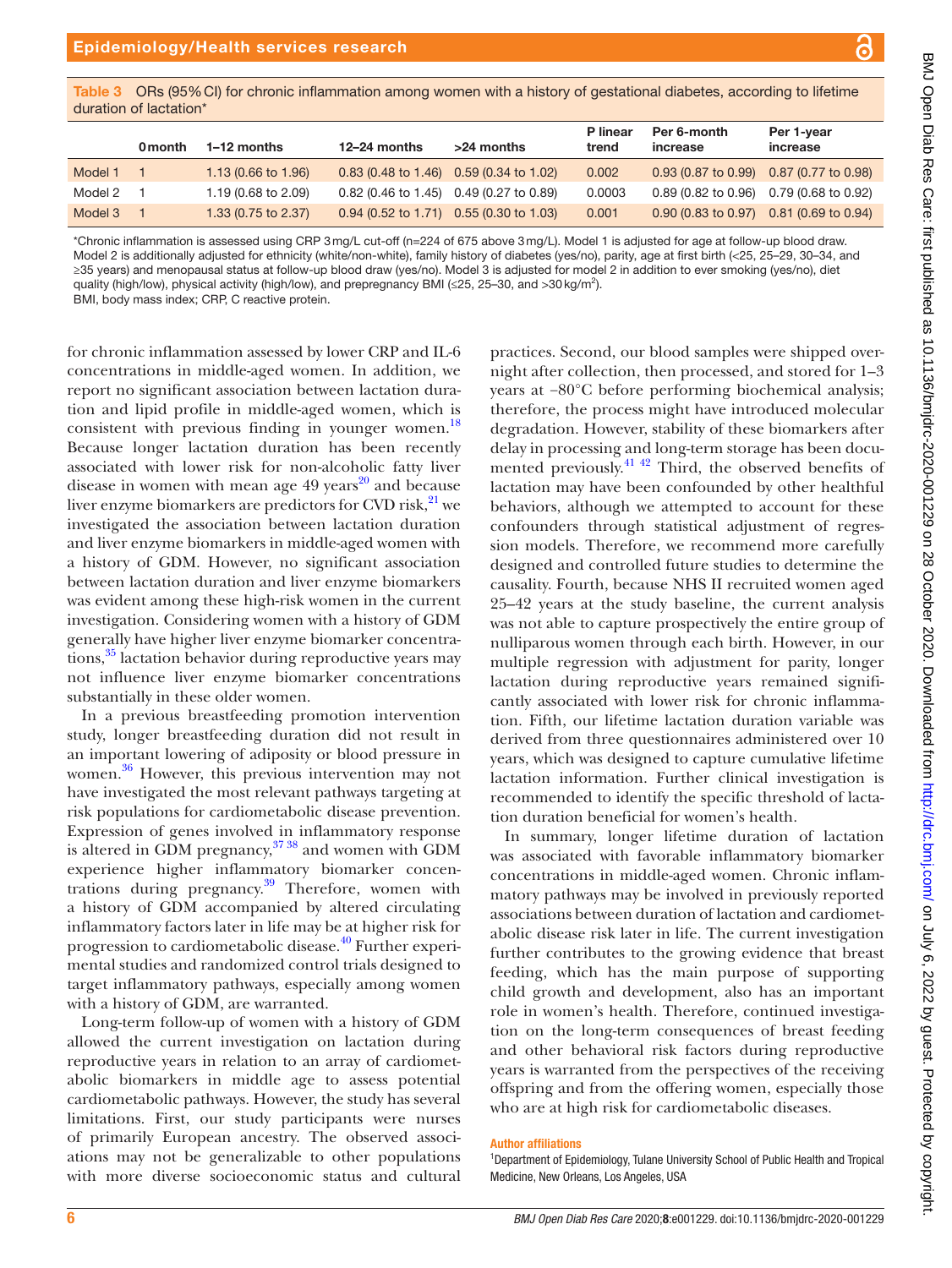<span id="page-5-0"></span>Table 3 ORs (95% CI) for chronic inflammation among women with a history of gestational diabetes, according to lifetime duration of lactation\*

|         | 0 month | $1-12$ months       | 12–24 months                                | >24 months                                  | <b>P</b> linear<br>trend | Per 6-month<br>increase                     | Per 1-year<br>increase |
|---------|---------|---------------------|---------------------------------------------|---------------------------------------------|--------------------------|---------------------------------------------|------------------------|
| Model 1 |         | 1.13 (0.66 to 1.96) | $0.83$ (0.48 to 1.46) $0.59$ (0.34 to 1.02) |                                             | 0.002                    | $0.93$ (0.87 to 0.99) 0.87 (0.77 to 0.98)   |                        |
| Model 2 |         | 1.19 (0.68 to 2.09) | $0.82$ (0.46 to 1.45) $0.49$ (0.27 to 0.89) |                                             | 0.0003                   | 0.89 (0.82 to 0.96) 0.79 (0.68 to 0.92)     |                        |
| Model 3 |         | 1.33 (0.75 to 2.37) |                                             | $0.94$ (0.52 to 1.71) $0.55$ (0.30 to 1.03) | 0.001                    | $0.90$ (0.83 to 0.97) $0.81$ (0.69 to 0.94) |                        |

\*Chronic inflammation is assessed using CRP 3mg/L cut-off (n=224 of 675 above 3mg/L). Model 1 is adjusted for age at follow-up blood draw. Model 2 is additionally adjusted for ethnicity (white/non-white), family history of diabetes (yes/no), parity, age at first birth (<25, 25–29, 30–34, and ≥35 years) and menopausal status at follow-up blood draw (yes/no). Model 3 is adjusted for model 2 in addition to ever smoking (yes/no), diet quality (high/low), physical activity (high/low), and prepregnancy BMI (≤25, 25–30, and >30 kg/m<sup>2</sup>).

BMI, body mass index; CRP, C reactive protein.

for chronic inflammation assessed by lower CRP and IL-6 concentrations in middle-aged women. In addition, we report no significant association between lactation duration and lipid profile in middle-aged women, which is consistent with previous finding in younger women.<sup>18</sup> Because longer lactation duration has been recently associated with lower risk for non-alcoholic fatty liver disease in women with mean age  $49$  years<sup>20</sup> and because liver enzyme biomarkers are predictors for CVD risk, $^{21}$  we investigated the association between lactation duration and liver enzyme biomarkers in middle-aged women with a history of GDM. However, no significant association between lactation duration and liver enzyme biomarkers was evident among these high-risk women in the current investigation. Considering women with a history of GDM generally have higher liver enzyme biomarker concentrations,<sup>35</sup> lactation behavior during reproductive years may not influence liver enzyme biomarker concentrations substantially in these older women.

In a previous breastfeeding promotion intervention study, longer breastfeeding duration did not result in an important lowering of adiposity or blood pressure in women. [36](#page-7-3) However, this previous intervention may not have investigated the most relevant pathways targeting at risk populations for cardiometabolic disease prevention. Expression of genes involved in inflammatory response is altered in GDM pregnancy,  $3738$  and women with GDM experience higher inflammatory biomarker concentrations during pregnancy[.39](#page-7-5) Therefore, women with a history of GDM accompanied by altered circulating inflammatory factors later in life may be at higher risk for progression to cardiometabolic disease.<sup>40</sup> Further experimental studies and randomized control trials designed to target inflammatory pathways, especially among women with a history of GDM, are warranted.

Long-term follow-up of women with a history of GDM allowed the current investigation on lactation during reproductive years in relation to an array of cardiometabolic biomarkers in middle age to assess potential cardiometabolic pathways. However, the study has several limitations. First, our study participants were nurses of primarily European ancestry. The observed associations may not be generalizable to other populations with more diverse socioeconomic status and cultural

practices. Second, our blood samples were shipped overnight after collection, then processed, and stored for 1–3 years at −80°C before performing biochemical analysis; therefore, the process might have introduced molecular degradation. However, stability of these biomarkers after delay in processing and long-term storage has been docu-mented previously.<sup>[41 42](#page-7-7)</sup> Third, the observed benefits of lactation may have been confounded by other healthful behaviors, although we attempted to account for these confounders through statistical adjustment of regression models. Therefore, we recommend more carefully designed and controlled future studies to determine the causality. Fourth, because NHS II recruited women aged 25–42 years at the study baseline, the current analysis was not able to capture prospectively the entire group of nulliparous women through each birth. However, in our multiple regression with adjustment for parity, longer lactation during reproductive years remained significantly associated with lower risk for chronic inflammation. Fifth, our lifetime lactation duration variable was derived from three questionnaires administered over 10 years, which was designed to capture cumulative lifetime lactation information. Further clinical investigation is recommended to identify the specific threshold of lactation duration beneficial for women's health.

In summary, longer lifetime duration of lactation was associated with favorable inflammatory biomarker concentrations in middle-aged women. Chronic inflammatory pathways may be involved in previously reported associations between duration of lactation and cardiometabolic disease risk later in life. The current investigation further contributes to the growing evidence that breast feeding, which has the main purpose of supporting child growth and development, also has an important role in women's health. Therefore, continued investigation on the long-term consequences of breast feeding and other behavioral risk factors during reproductive years is warranted from the perspectives of the receiving offspring and from the offering women, especially those who are at high risk for cardiometabolic diseases.

#### Author affiliations

<sup>1</sup>Department of Epidemiology, Tulane University School of Public Health and Tropical Medicine, New Orleans, Los Angeles, USA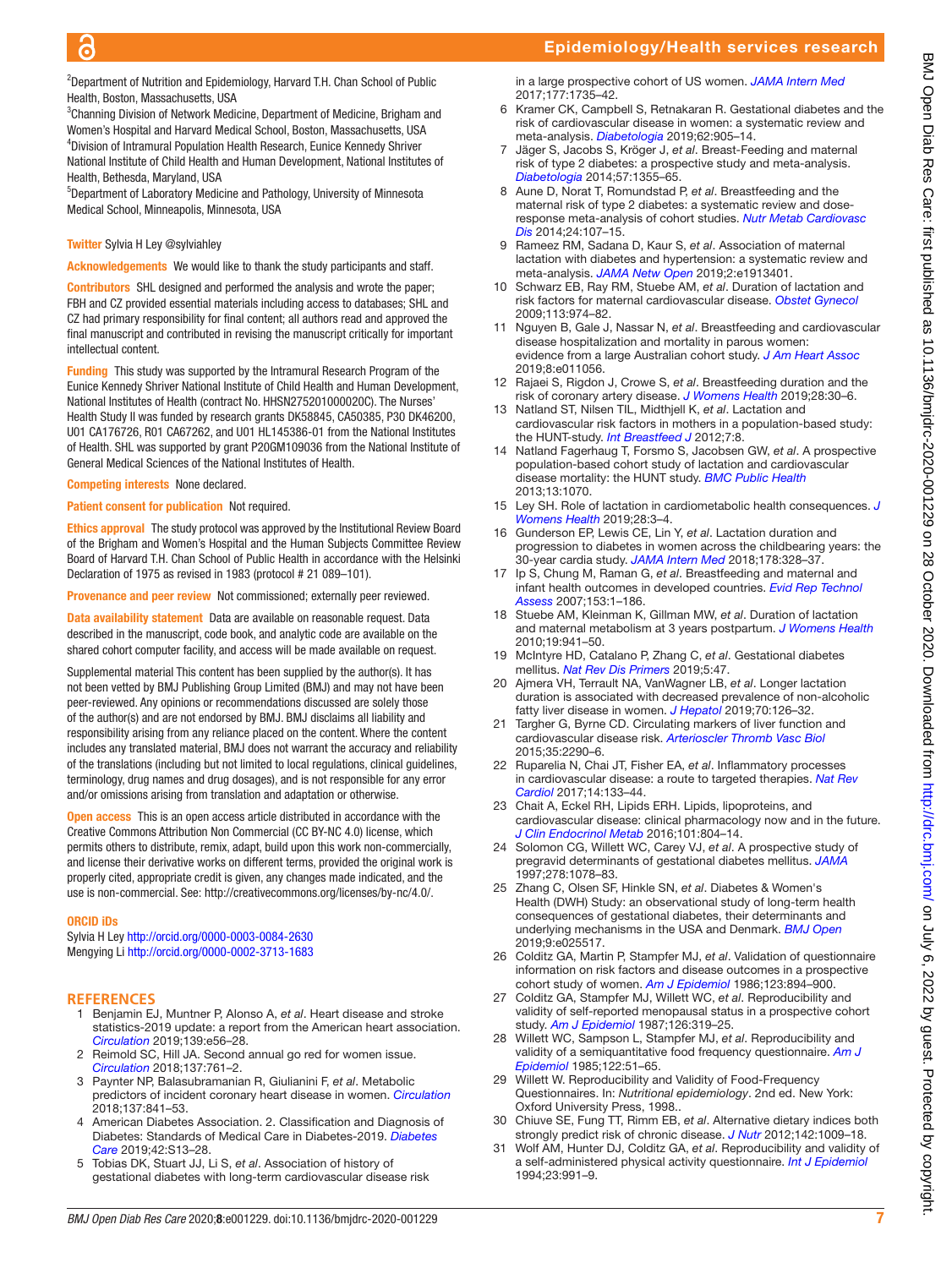<sup>2</sup>Department of Nutrition and Epidemiology, Harvard T.H. Chan School of Public Health, Boston, Massachusetts, USA

<sup>3</sup>Channing Division of Network Medicine, Department of Medicine, Brigham and Women's Hospital and Harvard Medical School, Boston, Massachusetts, USA 4 Division of Intramural Population Health Research, Eunice Kennedy Shriver National Institute of Child Health and Human Development, National Institutes of Health, Bethesda, Maryland, USA

5 Department of Laboratory Medicine and Pathology, University of Minnesota Medical School, Minneapolis, Minnesota, USA

#### Twitter Sylvia H Ley [@sylviahley](https://twitter.com/sylviahley)

Acknowledgements We would like to thank the study participants and staff.

Contributors SHL designed and performed the analysis and wrote the paper; FBH and CZ provided essential materials including access to databases; SHL and CZ had primary responsibility for final content; all authors read and approved the final manuscript and contributed in revising the manuscript critically for important intellectual content.

Funding This study was supported by the Intramural Research Program of the Eunice Kennedy Shriver National Institute of Child Health and Human Development, National Institutes of Health (contract No. HHSN275201000020C). The Nurses' Health Study II was funded by research grants DK58845, CA50385, P30 DK46200, U01 CA176726, R01 CA67262, and U01 HL145386-01 from the National Institutes of Health. SHL was supported by grant P20GM109036 from the National Institute of General Medical Sciences of the National Institutes of Health.

Competing interests None declared.

Patient consent for publication Not required.

Ethics approval The study protocol was approved by the Institutional Review Board of the Brigham and Women's Hospital and the Human Subjects Committee Review Board of Harvard T.H. Chan School of Public Health in accordance with the Helsinki Declaration of 1975 as revised in 1983 (protocol # 21 089–101).

Provenance and peer review Not commissioned; externally peer reviewed.

Data availability statement Data are available on reasonable request. Data described in the manuscript, code book, and analytic code are available on the shared cohort computer facility, and access will be made available on request.

Supplemental material This content has been supplied by the author(s). It has not been vetted by BMJ Publishing Group Limited (BMJ) and may not have been peer-reviewed. Any opinions or recommendations discussed are solely those of the author(s) and are not endorsed by BMJ. BMJ disclaims all liability and responsibility arising from any reliance placed on the content. Where the content includes any translated material, BMJ does not warrant the accuracy and reliability of the translations (including but not limited to local regulations, clinical guidelines, terminology, drug names and drug dosages), and is not responsible for any error and/or omissions arising from translation and adaptation or otherwise.

Open access This is an open access article distributed in accordance with the Creative Commons Attribution Non Commercial (CC BY-NC 4.0) license, which permits others to distribute, remix, adapt, build upon this work non-commercially, and license their derivative works on different terms, provided the original work is properly cited, appropriate credit is given, any changes made indicated, and the use is non-commercial. See:<http://creativecommons.org/licenses/by-nc/4.0/>.

#### ORCID iDs

Sylvia H Ley <http://orcid.org/0000-0003-0084-2630> Mengying Li <http://orcid.org/0000-0002-3713-1683>

#### **REFERENCES**

- <span id="page-6-0"></span>1 Benjamin EJ, Muntner P, Alonso A, *et al*. Heart disease and stroke statistics-2019 update: a report from the American heart association. *[Circulation](http://dx.doi.org/10.1161/CIR.0000000000000659)* 2019;139:e56–28.
- <span id="page-6-1"></span>2 Reimold SC, Hill JA. Second annual go red for women issue. *[Circulation](http://dx.doi.org/10.1161/CIRCULATIONAHA.118.033690)* 2018;137:761–2.
- 3 Paynter NP, Balasubramanian R, Giulianini F, *et al*. Metabolic predictors of incident coronary heart disease in women. *[Circulation](http://dx.doi.org/10.1161/CIRCULATIONAHA.117.029468)* 2018;137:841–53.
- <span id="page-6-2"></span>American Diabetes Association. 2. Classification and Diagnosis of Diabetes: Standards of Medical Care in Diabetes-2019. *[Diabetes](http://dx.doi.org/10.2337/dc19-S002)  [Care](http://dx.doi.org/10.2337/dc19-S002)* 2019;42:S13–28.
- <span id="page-6-3"></span>5 Tobias DK, Stuart JJ, Li S, *et al*. Association of history of gestational diabetes with long-term cardiovascular disease risk

in a large prospective cohort of US women. *[JAMA Intern Med](http://dx.doi.org/10.1001/jamainternmed.2017.2790)* 2017;177:1735–42.

- Kramer CK, Campbell S, Retnakaran R. Gestational diabetes and the risk of cardiovascular disease in women: a systematic review and meta-analysis. *[Diabetologia](http://dx.doi.org/10.1007/s00125-019-4840-2)* 2019;62:905–14.
- <span id="page-6-4"></span>7 Jäger S, Jacobs S, Kröger J, *et al*. Breast-Feeding and maternal risk of type 2 diabetes: a prospective study and meta-analysis. *[Diabetologia](http://dx.doi.org/10.1007/s00125-014-3247-3)* 2014;57:1355–65.
- 8 Aune D, Norat T, Romundstad P, *et al*. Breastfeeding and the maternal risk of type 2 diabetes: a systematic review and doseresponse meta-analysis of cohort studies. *[Nutr Metab Cardiovasc](http://dx.doi.org/10.1016/j.numecd.2013.10.028)  [Dis](http://dx.doi.org/10.1016/j.numecd.2013.10.028)* 2014;24:107–15.
- 9 Rameez RM, Sadana D, Kaur S, *et al*. Association of maternal lactation with diabetes and hypertension: a systematic review and meta-analysis. *[JAMA Netw Open](http://dx.doi.org/10.1001/jamanetworkopen.2019.13401)* 2019;2:e1913401.
- <span id="page-6-19"></span>10 Schwarz EB, Ray RM, Stuebe AM, *et al*. Duration of lactation and risk factors for maternal cardiovascular disease. *[Obstet Gynecol](http://dx.doi.org/10.1097/01.AOG.0000346884.67796.ca)* 2009;113:974–82.
- 11 Nguyen B, Gale J, Nassar N, *et al*. Breastfeeding and cardiovascular disease hospitalization and mortality in parous women: evidence from a large Australian cohort study. *[J Am Heart Assoc](http://dx.doi.org/10.1161/JAHA.118.011056)* 2019;8:e011056.
- <span id="page-6-5"></span>12 Rajaei S, Rigdon J, Crowe S, *et al*. Breastfeeding duration and the risk of coronary artery disease. *[J Womens Health](http://dx.doi.org/10.1089/jwh.2018.6970)* 2019;28:30–6.
- 13 Natland ST, Nilsen TIL, Midthjell K, *et al*. Lactation and cardiovascular risk factors in mothers in a population-based study: the HUNT-study. *[Int Breastfeed J](http://dx.doi.org/10.1186/1746-4358-7-8)* 2012;7:8.
- 14 Natland Fagerhaug T, Forsmo S, Jacobsen GW, *et al*. A prospective population-based cohort study of lactation and cardiovascular disease mortality: the HUNT study. *[BMC Public Health](http://dx.doi.org/10.1186/1471-2458-13-1070)* 2013;13:1070.
- 15 Ley SH. Role of lactation in cardiometabolic health consequences. *[J](http://dx.doi.org/10.1089/jwh.2018.7488)  [Womens Health](http://dx.doi.org/10.1089/jwh.2018.7488)* 2019;28:3–4.
- 16 Gunderson EP, Lewis CE, Lin Y, *et al*. Lactation duration and progression to diabetes in women across the childbearing years: the 30-year cardia study. *[JAMA Intern Med](http://dx.doi.org/10.1001/jamainternmed.2017.7978)* 2018;178:328–37.
- 17 Ip S, Chung M, Raman G, *et al*. Breastfeeding and maternal and infant health outcomes in developed countries. *[Evid Rep Technol](http://www.ncbi.nlm.nih.gov/pubmed/http://www.ncbi.nlm.nih.gov/pubmed/17764214)  [Assess](http://www.ncbi.nlm.nih.gov/pubmed/http://www.ncbi.nlm.nih.gov/pubmed/17764214)* 2007;153:1–186.
- <span id="page-6-6"></span>18 Stuebe AM, Kleinman K, Gillman MW, *et al*. Duration of lactation and maternal metabolism at 3 years postpartum. *[J Womens Health](http://dx.doi.org/10.1089/jwh.2009.1660)* 2010;19:941–50.
- <span id="page-6-7"></span>19 McIntyre HD, Catalano P, Zhang C, *et al*. Gestational diabetes mellitus. *[Nat Rev Dis Primers](http://dx.doi.org/10.1038/s41572-019-0098-8)* 2019;5:47.
- <span id="page-6-8"></span>20 Ajmera VH, Terrault NA, VanWagner LB, *et al*. Longer lactation duration is associated with decreased prevalence of non-alcoholic fatty liver disease in women. *[J Hepatol](http://dx.doi.org/10.1016/j.jhep.2018.09.013)* 2019;70:126–32.
- <span id="page-6-9"></span>21 Targher G, Byrne CD. Circulating markers of liver function and cardiovascular disease risk. *[Arterioscler Thromb Vasc Biol](http://dx.doi.org/10.1161/ATVBAHA.115.305235)* 2015;35:2290–6.
- <span id="page-6-10"></span>22 Ruparelia N, Chai JT, Fisher EA, *et al*. Inflammatory processes in cardiovascular disease: a route to targeted therapies. *[Nat Rev](http://dx.doi.org/10.1038/nrcardio.2016.185)  [Cardiol](http://dx.doi.org/10.1038/nrcardio.2016.185)* 2017;14:133–44.
- <span id="page-6-11"></span>23 Chait A, Eckel RH, Lipids ERH. Lipids, lipoproteins, and cardiovascular disease: clinical pharmacology now and in the future. *[J Clin Endocrinol Metab](http://dx.doi.org/10.1210/jc.2015-3940)* 2016;101:804–14.
- <span id="page-6-12"></span>24 Solomon CG, Willett WC, Carey VJ, *et al*. A prospective study of pregravid determinants of gestational diabetes mellitus. *[JAMA](http://dx.doi.org/10.1001/jama.1997.03550130052036)* 1997;278:1078–83.
- <span id="page-6-13"></span>25 Zhang C, Olsen SF, Hinkle SN, *et al*. Diabetes & Women's Health (DWH) Study: an observational study of long-term health consequences of gestational diabetes, their determinants and underlying mechanisms in the USA and Denmark. *[BMJ Open](http://dx.doi.org/10.1136/bmjopen-2018-025517)* 2019;9:e025517.
- <span id="page-6-14"></span>26 Colditz GA, Martin P, Stampfer MJ, *et al*. Validation of questionnaire information on risk factors and disease outcomes in a prospective cohort study of women. *[Am J Epidemiol](http://dx.doi.org/10.1093/oxfordjournals.aje.a114319)* 1986;123:894–900.
- <span id="page-6-15"></span>27 Colditz GA, Stampfer MJ, Willett WC, *et al*. Reproducibility and validity of self-reported menopausal status in a prospective cohort study. *[Am J Epidemiol](http://dx.doi.org/10.1093/aje/126.2.319)* 1987;126:319–25.
- <span id="page-6-16"></span>28 Willett WC, Sampson L, Stampfer MJ, *et al*. Reproducibility and validity of a semiquantitative food frequency questionnaire. *[Am J](http://dx.doi.org/10.1093/oxfordjournals.aje.a114086)  [Epidemiol](http://dx.doi.org/10.1093/oxfordjournals.aje.a114086)* 1985;122:51–65.
- 29 Willett W. Reproducibility and Validity of Food-Frequency Questionnaires. In: *Nutritional epidemiology*. 2nd ed. New York: Oxford University Press, 1998..
- <span id="page-6-17"></span>30 Chiuve SE, Fung TT, Rimm EB, *et al*. Alternative dietary indices both strongly predict risk of chronic disease. *[J Nutr](http://dx.doi.org/10.3945/jn.111.157222)* 2012;142:1009–18.
- <span id="page-6-18"></span>31 Wolf AM, Hunter DJ, Colditz GA, *et al*. Reproducibility and validity of a self-administered physical activity questionnaire. *[Int J Epidemiol](http://dx.doi.org/10.1093/ije/23.5.991)* 1994;23:991–9.